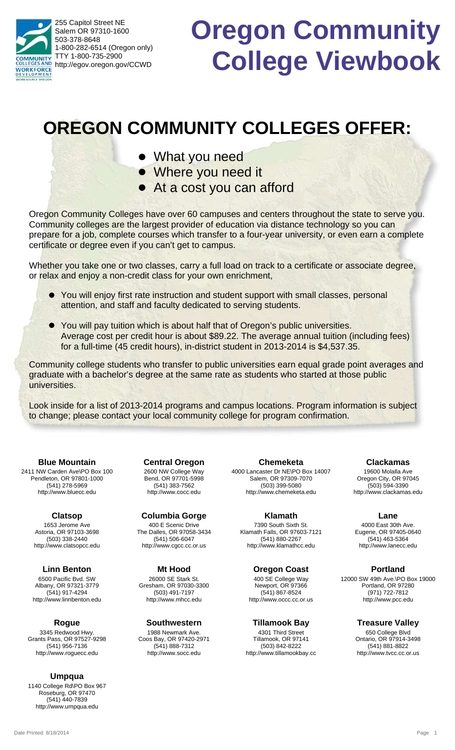255 Capitol Street NE Salem OR 97310-1600 503-378-8648 1-800-282-6514 (Oregon only) TTY 1-800-735-2900 **NUNITY** http://egov.oregon.gov/CCWD **WORKFORCE** 

# **Oregon Community College Viewbook**

## **OREGON COMMUNITY COLLEGES OFFER:**

- What you need
- Where you need it
- At a cost you can afford

Oregon Community Colleges have over 60 campuses and centers throughout the state to serve you. Community colleges are the largest provider of education via distance technology so you can prepare for a job, complete courses which transfer to a four-year university, or even earn a complete certificate or degree even if you can't get to campus.

Whether you take one or two classes, carry a full load on track to a certificate or associate degree, or relax and enjoy a non-credit class for your own enrichment,

- You will enjoy first rate instruction and student support with small classes, personal l attention, and staff and faculty dedicated to serving students.
- You will pay tuition which is about half that of Oregon's public universities. l Average cost per credit hour is about \$89.22. The average annual tuition (including fees) for a full-time (45 credit hours), in-district student in 2013-2014 is \$4,537.35.

Community college students who transfer to public universities earn equal grade point averages and graduate with a bachelor's degree at the same rate as students who started at those public universities.

Look inside for a list of 2013-2014 programs and campus locations. Program information is subject to change; please contact your local community college for program confirmation.

2411 NW Carden Ave\PO Box 100 Pendleton, OR 97801-1000 (541) 278-5969 http://www.bluecc.edu **Blue Mountain**

> 1653 Jerome Ave Astoria, OR 97103-3698 (503) 338-2440 http://www.clatsopcc.edu **Clatsop**

6500 Pacific Bvd. SW Albany, OR 97321-3779 (541) 917-4294 http://www.linnbenton.edu **Linn Benton**

3345 Redwood Hwy. Grants Pass, OR 97527-9298 (541) 956-7136 http://www.roguecc.edu **Rogue**

#### **Umpqua**

1140 College Rd\PO Box 967 Roseburg, OR 97470 (541) 440-7839 http://www.umpqua.edu

2600 NW College Way Bend, OR 97701-5998 (541) 383-7562 http://www.cocc.edu **Central Oregon**

400 E Scenic Drive The Dalles, OR 97058-3434 (541) 506-6047 http://www.cgcc.cc.or.us **Columbia Gorge**

26000 SE Stark St. Gresham, OR 97030-3300 (503) 491-7197 http://www.mhcc.edu **Mt Hood**

1988 Newmark Ave. Coos Bay, OR 97420-2971 (541) 888-7312 http://www.socc.edu **Southwestern**

4000 Lancaster Dr NE\PO Box 14007 Salem, OR 97309-7070 (503) 399-5080 http://www.chemeketa.edu **Chemeketa**

7390 South Sixth St. Klamath Falls, OR 97603-7121 (541) 880-2267 http://www.klamathcc.edu **Klamath**

**Oregon Coast**

400 SE College Way Newport, OR 97366 (541) 867-8524 http://www.occc.cc.or.us

4301 Third Street Tillamook, OR 97141 **Tillamook Bay**

(503) 842-8222 http://www.tillamookbay.cc

19600 Molalla Ave Oregon City, OR 97045 (503) 594-3390 http://www.clackamas.edu **Clackamas**

4000 East 30th Ave. Eugene, OR 97405-0640 (541) 463-5364 **Lane**

http://www.lanecc.edu

**Portland**

12000 SW 49th Ave.\PO Box 19000 Portland, OR 97280 (971) 722-7812 http://www.pcc.edu

**Treasure Valley**

650 College Blvd Ontario, OR 97914-3498 (541) 881-8822 http://www.tvcc.cc.or.us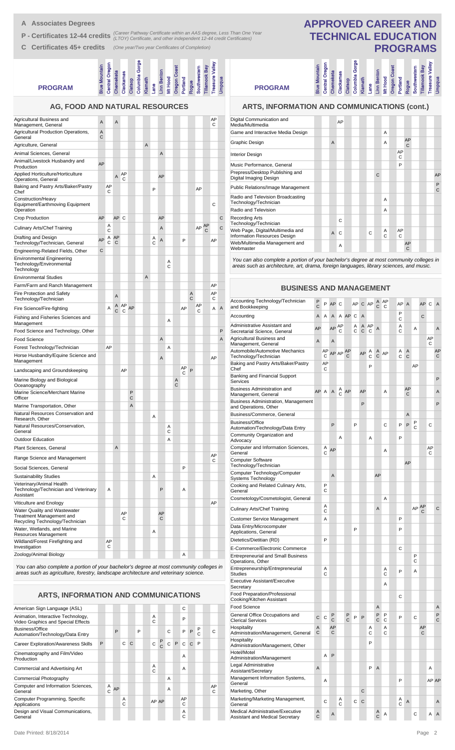- **A Associates Degrees**
- **P Certificates 12-44 credits** (Career Pathway Certificate within an AAS degree, Less Than One Year<br> **P Certificates 12-44 credits** (LTOY) Certificate, and other independent 12-44 credit Certificates)
- **C Certificates 45+ credits** *(One year/Two year Certificates of Completion)*

#### umbia Gorge **Columbia Gorge Treasure Valley** ntral Oregon **Central Oregon Blue Mountain** Mountain **Oregon Coast Tillamook Bay Southwestern kamas Linn Benton Chemeketa Clackamas Klamath** Lane<br>Linn Ber<br>Mt Hood<br>Oregue<br>Rogue<br>Tillamoo<br>Linnasure **Clatsop PROGRAM AG, FOOD AND NATURAL RESOURCES**

| Agricultural Business and<br>Management, General                                            | Α      |         | A       |         |        |   |        |         |        |        |         |                     |         |                | AP<br>С |   |
|---------------------------------------------------------------------------------------------|--------|---------|---------|---------|--------|---|--------|---------|--------|--------|---------|---------------------|---------|----------------|---------|---|
| Agricultural Production Operations,<br>General                                              | Α<br>C |         |         |         |        |   |        |         |        |        |         |                     |         |                |         |   |
| Agriculture, General                                                                        |        |         |         |         |        | A |        |         |        |        |         |                     |         |                |         |   |
| Animal Sciences, General                                                                    |        |         |         |         |        |   |        | A       |        |        |         |                     |         |                |         |   |
| Animal/Livestock Husbandry and<br>Production                                                | AP     |         |         |         |        |   |        |         |        |        |         |                     |         |                |         |   |
| Applied Horticulture/Horticulture<br>Operations, General                                    |        |         | A       | AP<br>С |        |   |        | AP      |        |        |         |                     |         |                |         |   |
| Baking and Pastry Arts/Baker/Pastry<br>Chef                                                 |        | AP<br>С |         |         |        |   | P      |         |        |        |         |                     | AP      |                |         |   |
| Construction/Heavy<br>Equipment/Earthmoving Equipment<br>Operation                          |        |         |         |         |        |   |        |         |        |        |         |                     |         |                | C       |   |
| Crop Production                                                                             | AP     |         | AP C    |         |        |   |        | AP      |        |        |         |                     |         |                |         | С |
| Culinary Arts/Chef Training                                                                 |        | Α<br>С  |         |         |        |   |        | A       |        |        |         |                     | AP      | <b>AP</b><br>С |         | C |
| Drafting and Design<br>Technology/Technician, General                                       | AP     | Α<br>C  | AP<br>C |         |        |   | Α<br>C | Α       |        |        | P       |                     |         |                | AP      |   |
| Engineering-Related Fields, Other                                                           | C      |         |         |         |        |   |        |         |        |        |         |                     |         |                |         |   |
| <b>Environmental Engineering</b><br>Technology/Environmental<br>Technology                  |        |         |         |         |        |   |        |         | Α<br>C |        |         |                     |         |                |         |   |
| <b>Environmental Studies</b>                                                                |        |         |         |         |        | A |        |         |        |        |         |                     |         |                |         |   |
| Farm/Farm and Ranch Management                                                              |        |         |         |         |        |   |        |         |        |        |         |                     |         |                | AP      |   |
| Fire Protection and Safety<br>Technology/Technician                                         |        |         | A       |         |        |   |        |         |        |        |         | Α<br>$\overline{C}$ |         |                | AP<br>С |   |
| Fire Science/Fire-fighting                                                                  |        | Α       | Α<br>С  | AP<br>С | AP     |   |        |         |        |        | AP      |                     | AP<br>С |                | Α       | Α |
| Fishing and Fisheries Sciences and<br>Management                                            |        |         |         |         |        |   |        |         | Α      |        |         |                     |         |                |         |   |
| Food Science and Technology, Other                                                          |        |         |         |         |        |   |        |         |        |        |         |                     |         |                |         | P |
| <b>Food Science</b>                                                                         |        |         |         |         |        |   |        | Α       |        |        |         |                     |         |                |         | Α |
| Forest Technology/Technician                                                                |        | AP      |         |         |        |   |        |         | A      |        |         |                     |         |                |         |   |
| Horse Husbandry/Equine Science and<br>Management                                            |        |         |         |         |        |   |        | Α       |        |        |         |                     |         |                | AP      |   |
| Landscaping and Groundskeeping                                                              |        |         |         | AP      |        |   |        |         |        |        | AP<br>С | P                   |         |                |         |   |
| Marine Biology and Biological<br>Oceanography                                               |        |         |         |         |        |   |        |         |        | Α<br>C |         |                     |         |                |         |   |
| Marine Science/Merchant Marine<br>Officer                                                   |        |         |         |         | P<br>C |   |        |         |        |        |         |                     |         |                |         |   |
| Marine Transportation, Other                                                                |        |         |         |         | A      |   |        |         |        |        |         |                     |         |                |         |   |
| Natural Resources Conservation and<br>Research, Other                                       |        |         |         |         |        |   | A      |         |        |        |         |                     |         |                |         |   |
| Natural Resources/Conservation,<br>General                                                  |        |         |         |         |        |   |        |         | Α<br>C |        |         |                     |         |                |         |   |
| <b>Outdoor Education</b>                                                                    |        |         |         |         |        |   |        |         | А      |        |         |                     |         |                |         |   |
| Plant Sciences, General                                                                     |        |         | A       |         |        |   |        |         |        |        |         |                     |         |                |         |   |
| Range Science and Management                                                                |        |         |         |         |        |   |        |         |        |        |         |                     |         |                | AP<br>C |   |
| Social Sciences, General                                                                    |        |         |         |         |        |   |        |         |        |        | P       |                     |         |                |         |   |
| <b>Sustainability Studies</b>                                                               |        |         |         |         |        |   | Α      |         |        |        |         |                     |         |                |         |   |
| Veterinary/Animal Health<br>Technology/Technician and Veterinary<br>Assistant               |        | A       |         |         |        |   |        | P       |        |        | A       |                     |         |                |         |   |
| Viticulture and Enology                                                                     |        |         |         |         |        |   |        |         |        |        |         |                     |         |                | AP      |   |
| Water Quality and Wastewater<br>Treatment Management and<br>Recycling Technology/Technician |        |         |         | AP<br>C |        |   |        | AP<br>C |        |        |         |                     |         |                |         |   |
| Water, Wetlands, and Marine<br>Resources Management                                         |        |         |         |         |        |   | A      |         |        |        |         |                     |         |                |         |   |
| Wildland/Forest Firefighting and<br>Investigation                                           |        | AP<br>C |         |         |        |   |        |         |        |        |         |                     |         |                |         |   |
| Zoology/Animal Biology                                                                      |        |         |         |         |        |   |        |         |        |        | Α       |                     |         |                |         |   |

*You can also complete a portion of your bachelor's degree at most community colleges in areas such as agriculture, forestry, landscape architecture and veterinary science.*

#### **ARTS, INFORMATION AND COMMUNICATIONS**

| American Sign Language (ASL)                                             |   |        |    |        |              |   |              |               |   |   | C              |              |                   |         |  |
|--------------------------------------------------------------------------|---|--------|----|--------|--------------|---|--------------|---------------|---|---|----------------|--------------|-------------------|---------|--|
| Animation, Interactive Technology,<br>Video Graphics and Special Effects |   |        |    |        |              |   | A<br>Ċ       |               |   |   | P              |              |                   |         |  |
| Business/Office<br>Automation/Technology/Data Entry                      |   |        | P  |        |              | P |              |               | C |   | P              | P            | P<br>$\mathsf{C}$ | C       |  |
| <b>Career Exploration/Awareness Skills</b>                               | P |        |    | C      | $\mathsf{C}$ |   | $\mathsf{C}$ | $\frac{P}{C}$ | C | P | C              | $\mathsf{C}$ | P                 |         |  |
| Cinematography and Film/Video<br>Production                              |   |        |    |        |              |   |              |               |   |   | $\overline{A}$ |              |                   |         |  |
| Commercial and Advertising Art                                           |   |        |    |        |              |   | A<br>C       |               |   |   | A              |              |                   |         |  |
| Commercial Photography                                                   |   |        |    |        |              |   |              |               | A |   |                |              |                   |         |  |
| Computer and Information Sciences,<br>General                            |   | Α<br>Ć | AP |        |              |   |              |               | A |   |                |              |                   | AP<br>C |  |
| Computer Programming, Specific<br>Applications                           |   |        |    | A<br>C |              |   |              | AP AP         |   |   | AP<br>C        |              |                   |         |  |
| Design and Visual Communications,<br>General                             |   |        |    |        |              |   |              |               |   |   | A<br>C         |              |                   |         |  |

### **APPROVED CAREER AND TECHNICAL EDUCATION PROGRAMS**

**Linn Benton** 

ure Valley

**Imbia Gorge** 

**PROGRAM**

#### **ARTS, INFORMATION AND COMMUNICATIONS (cont.)**

**Blue Mountain Central Oregon Chemeketa Clackamas Clatsop Columbia Gorge Klamath Lane Linn Benton Mt Hood Oregon Coast Portland Rogue Southwestern Tillamook Bay Treasure Valley Umpqua**

**Intral Oregon** 

| Digital Communication and<br>Media/Multimedia                    |  |                | AP |  |   |   |        |         |         |  |                   |
|------------------------------------------------------------------|--|----------------|----|--|---|---|--------|---------|---------|--|-------------------|
| Game and Interactive Media Design                                |  |                |    |  |   |   | A      |         |         |  |                   |
| Graphic Design                                                   |  | $\overline{A}$ |    |  |   |   | A      |         | AP<br>C |  |                   |
| <b>Interior Design</b>                                           |  |                |    |  |   |   |        | AP<br>C |         |  |                   |
| Music Performance, General                                       |  |                |    |  |   |   |        | P       |         |  |                   |
| Prepress/Desktop Publishing and<br>Digital Imaging Design        |  |                |    |  |   | C |        |         |         |  | AP                |
| <b>Public Relations/Image Management</b>                         |  |                |    |  |   |   |        |         |         |  | P<br>$\mathsf{C}$ |
| Radio and Television Broadcasting<br>Technology/Technician       |  |                |    |  |   |   | A      |         |         |  |                   |
| Radio and Television                                             |  |                |    |  |   |   | A      |         |         |  |                   |
| <b>Recording Arts</b><br>Technology/Technician                   |  |                | C  |  |   |   |        |         |         |  |                   |
| Web Page, Digital/Multimedia and<br>Information Resources Design |  | $\overline{A}$ | C  |  | C |   | A<br>C | AP<br>C |         |  |                   |
| Web/Multimedia Management and<br>Webmaster                       |  |                | A  |  |   |   |        |         | AP<br>C |  |                   |

*You can also complete a portion of your bachelor's degree at most community colleges in areas such as architecture, art, drama, foreign languages, library sciences, and music.*

#### **BUSINESS AND MANAGEMENT**

| Accounting Technology/Technician<br>and Bookkeeping                        | Ρ<br>C            | P       | AP      | С                  |         | AP     | С      | AP      | C                 | AP<br>C | AP     | $\overline{A}$ |        | AP      | C       | A            |
|----------------------------------------------------------------------------|-------------------|---------|---------|--------------------|---------|--------|--------|---------|-------------------|---------|--------|----------------|--------|---------|---------|--------------|
| Accounting                                                                 | Α                 | A       | A       |                    | A AP    | C      | A      |         |                   |         | P<br>С |                |        | C       |         |              |
| Administrative Assistant and<br>Secretarial Science, General               | AP                |         | AP      | AP<br>С            |         | Α<br>C | Α<br>C | AP<br>C | A                 |         | Α<br>C |                | Α      |         |         | A            |
| Agricultural Business and<br>Management, General                           | $\overline{A}$    |         | A       |                    |         |        |        |         |                   |         |        |                |        |         | AP<br>С |              |
| Automobile/Automotive Mechanics<br>Technology/Technician                   |                   | AP<br>C |         | AP AP              | AP<br>С |        | AP     | Α<br>C  | A<br>$\mathsf{C}$ | AP      | Α<br>C | Α<br>C         |        |         |         | AP<br>С      |
| Baking and Pastry Arts/Baker/Pastry<br>Chef                                |                   | AP<br>C |         |                    |         |        |        | P       |                   |         |        |                | AP     |         |         |              |
| Banking and Financial Support<br>Services                                  |                   |         |         |                    |         |        |        |         |                   |         |        |                |        |         |         | P            |
| <b>Business Administration and</b><br>Management, General                  | AP A              |         | A       | $_{\rm C}^{\rm A}$ | AP      |        | AP     |         |                   | A       |        | AP<br>С        |        |         |         | Α            |
| <b>Business Administration, Management</b><br>and Operations, Other        |                   |         |         |                    |         |        | P      |         |                   |         |        |                |        |         |         | P            |
| Business/Commerce, General                                                 |                   |         |         |                    |         |        |        |         |                   |         |        | A              |        |         |         |              |
| Business/Office<br>Automation/Technology/Data Entry                        |                   |         | P       |                    |         | P      |        |         |                   | C       | P      | P              | P<br>C |         | C       |              |
| Community Organization and<br>Advocacy                                     |                   |         |         | Α                  |         |        |        | Α       |                   |         | P      |                |        |         |         |              |
| Computer and Information Sciences,<br>General                              |                   | Α<br>Ċ  | AP      |                    |         |        |        |         |                   | Α       |        |                |        |         | AP<br>С |              |
| <b>Computer Software</b><br>Technology/Technician                          |                   |         |         |                    |         |        |        |         |                   |         |        | AP             |        |         |         |              |
| Computer Technology/Computer<br>Systems Technology                         |                   |         | A       |                    |         |        |        |         | AP                |         |        |                |        |         |         |              |
| Cooking and Related Culinary Arts,<br>General                              |                   | P<br>C  |         |                    |         |        |        |         |                   |         |        |                |        |         |         |              |
| Cosmetology/Cosmetologist, General                                         |                   |         |         |                    |         |        |        |         |                   | A       |        |                |        |         |         |              |
| <b>Culinary Arts/Chef Training</b>                                         |                   | A<br>C  |         |                    |         |        |        |         | A                 |         |        |                |        | AP AP   |         | $\mathsf{C}$ |
| <b>Customer Service Management</b>                                         |                   | A       |         |                    |         |        |        |         |                   |         | P      |                |        |         |         |              |
| Data Entry/Microcomputer<br>Applications, General                          |                   |         |         |                    |         | P      |        |         |                   |         | P      |                |        |         |         |              |
| Dietetics/Dietitian (RD)                                                   |                   | P       |         |                    |         |        |        |         |                   |         |        |                |        |         |         |              |
| E-Commerce/Electronic Commerce                                             |                   |         |         |                    |         |        |        |         |                   |         | С      |                |        |         |         |              |
| <b>Entrepreneurial and Small Business</b><br>Operations, Other             |                   |         |         |                    |         |        |        |         |                   |         |        |                | P<br>С |         |         |              |
| Entrepreneurship/Entrepreneurial<br><b>Studies</b>                         |                   | Α<br>C  |         |                    |         |        |        |         |                   | A<br>C  | P      |                | Α      |         |         |              |
| <b>Executive Assistant/Executive</b><br>Secretary                          |                   |         |         |                    |         |        |        |         |                   | A       |        |                |        |         |         |              |
| Food Preparation/Professional<br>Cooking/Kitchen Assistant                 |                   |         |         |                    |         |        |        |         |                   |         | С      |                |        |         |         |              |
| <b>Food Science</b>                                                        |                   |         |         |                    |         |        |        |         | Α                 |         |        |                |        |         |         | Α            |
| General Office Occupations and<br><b>Clerical Services</b>                 | C                 | С       | P<br>C  |                    | Ρ<br>Ċ  | P      | P      |         | P<br>С            | P<br>C  | P      |                | С      |         |         | P<br>C       |
| Hospitality<br>Administration/Management, General                          | A<br>С            |         | AP<br>C |                    |         |        |        | Α<br>С  |                   | А<br>С  |        |                |        | AP<br>C |         |              |
| Hospitality<br>Administration/Management, Other                            |                   |         |         |                    |         |        |        | P       |                   |         |        |                |        |         |         |              |
| Hotel/Motel<br>Administration/Management                                   |                   | A       | P       |                    |         |        |        |         |                   |         |        |                |        |         |         |              |
| Legal Administrative<br>Assistant/Secretary                                | $\overline{A}$    |         |         |                    |         |        |        | P       | $\overline{A}$    |         |        |                |        |         | Α       |              |
| Management Information Systems,<br>General                                 |                   | A       |         |                    |         |        |        |         |                   |         | P      |                |        |         | AP AP   |              |
| Marketing, Other                                                           |                   |         |         |                    |         |        | C      |         |                   |         |        |                |        |         |         |              |
| Marketing/Marketing Management,<br>General                                 |                   | С       |         | Α<br>C             |         | С      | C      |         |                   |         | Α<br>C | A              |        |         |         | Α            |
| Medical Administrative/Executive<br><b>Assistant and Medical Secretary</b> | Α<br>$\mathsf{C}$ |         | A       |                    |         |        |        |         | Α<br>C            | Α       |        |                | С      |         | Α       | A            |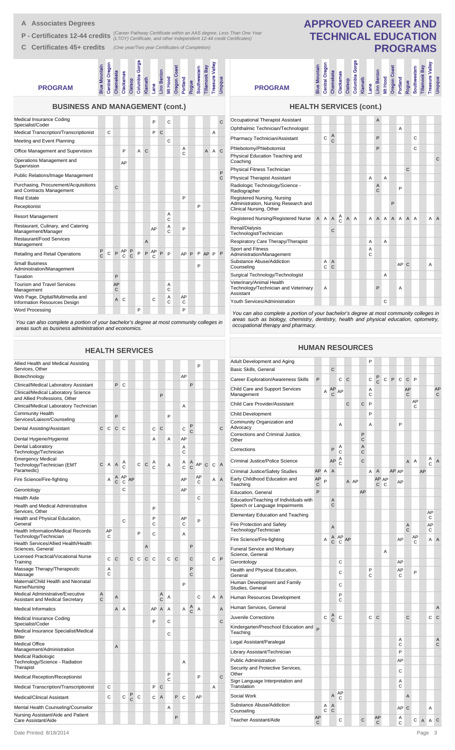- **A Associates Degrees**
- **P Certificates 12-44 credits** (Career Pathway Certificate within an AAS degree, Less Than One Year<br> **P Certificates 12-44 credits** (LTOY) Certificate, and other independent 12-44 credit Certificates)
- **C Certificates 45+ credits** *(One year/Two year Certificates of Completion)*

#### **PROGRAM Blue Mountain Central Oregon Chemeketa Clackamas Columbi**<br>Columath<br>Klamath<br>Lane Bergue<br>Angue<br>Portland<br>Southwessure<br>Tillamoo **Columbia Gorge Linn Benton Oregon Coast Southwestern Tillamook Bay Treasure Valley**

|  |  | <b>BUSINESS AND MANAGEMENT (cont.)</b> |  |
|--|--|----------------------------------------|--|
|--|--|----------------------------------------|--|

| Medical Insurance Coding<br>Specialist/Coder                     |               |   |                    |                    |               |   |                | P       |   | C      |                   |   |                |   | C      |
|------------------------------------------------------------------|---------------|---|--------------------|--------------------|---------------|---|----------------|---------|---|--------|-------------------|---|----------------|---|--------|
| Medical Transcription/Transcriptionist                           |               | C |                    |                    |               |   |                | P       | C |        |                   |   |                | Α |        |
| Meeting and Event Planning                                       |               |   |                    |                    |               |   |                |         |   | Ċ      |                   |   |                |   |        |
| Office Management and Supervision                                |               |   |                    | P                  |               | A | C              |         |   |        | A<br>$\mathsf{C}$ |   | $\overline{A}$ | A | C      |
| Operations Management and<br>Supervision                         |               |   |                    | AP                 |               |   |                |         |   |        |                   |   |                |   |        |
| Public Relations/Image Management                                |               |   |                    |                    |               |   |                |         |   |        |                   |   |                |   | P<br>C |
| Purchasing, Procurement/Acquisitions<br>and Contracts Management |               |   | $\mathsf{C}$       |                    |               |   |                |         |   |        |                   |   |                |   |        |
| Real Estate                                                      |               |   |                    |                    |               |   |                |         |   |        | P                 |   |                |   |        |
| Receptionist                                                     |               |   |                    |                    |               |   |                |         |   |        |                   | P |                |   |        |
| <b>Resort Management</b>                                         |               |   |                    |                    |               |   |                |         |   | A<br>Ċ |                   |   |                |   |        |
| Restaurant, Culinary, and Catering<br>Management/Manager         |               |   |                    |                    |               |   |                | AP      |   | Α<br>Ċ | P                 |   |                |   |        |
| Restaurant/Food Services<br>Management                           |               |   |                    |                    |               |   | $\overline{A}$ |         |   |        |                   |   |                |   |        |
| Retailing and Retail Operations                                  | $\frac{P}{C}$ | C | P                  | AP<br>$\mathsf{C}$ | $\frac{P}{C}$ | P | P              | AP<br>C | P | P      | AP P              |   | P AP P         |   | P      |
| <b>Small Business</b><br>Administration/Management               |               |   |                    |                    |               |   |                |         |   |        |                   | P |                |   |        |
| Taxation                                                         |               |   | P                  |                    |               |   |                |         |   |        |                   |   |                |   |        |
| <b>Tourism and Travel Services</b><br>Management                 |               |   | AP<br>$\mathsf{C}$ |                    |               |   |                |         |   | A<br>Ċ |                   |   |                |   |        |
| Web Page, Digital/Multimedia and<br>Information Resources Design |               |   | $\mathsf{A}$       | C                  |               |   |                | C       |   | А<br>Ċ | AP<br>C           |   |                |   |        |
| <b>Word Processing</b>                                           |               |   |                    |                    |               | P |                |         |   |        | P                 |   |                |   |        |

*You can also complete a portion of your bachelor's degree at most community colleges in areas such as business administration and economics.*

#### **HEALTH SERVICES**

| Allied Health and Medical Assisting<br>Services, Other                            |              |         |   |         |        |   |                |        |                |        |   |         |                   | P       |              |   |   |
|-----------------------------------------------------------------------------------|--------------|---------|---|---------|--------|---|----------------|--------|----------------|--------|---|---------|-------------------|---------|--------------|---|---|
| Biotechnology                                                                     |              |         |   |         |        |   |                |        |                |        |   | AP      |                   |         |              |   |   |
| Clinical/Medical Laboratory Assistant                                             |              |         | P | C       |        |   |                |        |                |        |   |         | P                 |         |              |   |   |
| Clinical/Medical Laboratory Science<br>and Allied Professions, Other              |              |         |   |         |        |   |                |        | P              |        |   |         |                   |         |              |   |   |
| Clinical/Medical Laboratory Technician                                            |              |         |   |         |        |   |                |        |                |        |   | A       |                   |         |              |   |   |
| Community Health<br>Services/Liaison/Counseling                                   |              |         | P |         |        |   |                |        |                | P      |   |         |                   |         |              |   |   |
| Dental Assisting/Assistant                                                        | $\mathsf{C}$ | C       | С | С       |        |   |                | C      | $\mathsf{C}$   |        |   | С       | P<br>C            |         |              |   | С |
| Dental Hygiene/Hygienist                                                          |              |         |   |         |        |   |                | A      |                | Α      |   | AP      |                   |         |              |   |   |
| Dental Laboratory<br>Technology/Technician                                        |              |         |   |         |        |   |                |        |                |        |   | Α<br>C  |                   |         |              |   |   |
| <b>Emergency Medical</b><br>Technology/Technician (EMT<br>Paramedic)              | C            | Α       | A | A<br>C  |        | C | $\mathsf{C}$   | Α<br>Ċ |                | A      |   | Α<br>Ċ  | A<br>$\mathsf{C}$ | AP      | $\mathsf{C}$ | C | A |
| Fire Science/Fire-fighting                                                        |              | Α       | Ċ | AP<br>С | AP     |   |                |        |                |        |   | AP      |                   | AP<br>С |              | A | А |
| Gerontology                                                                       |              |         |   | C       |        |   |                |        |                |        |   | AP      |                   |         |              |   |   |
| <b>Health Aide</b>                                                                |              |         |   |         |        |   |                |        |                |        |   |         |                   | С       |              |   |   |
| <b>Health and Medical Administrative</b><br>Services, Other                       |              |         |   |         |        |   |                | P      |                |        |   |         |                   |         |              |   |   |
| Health and Physical Education,<br>General                                         |              |         |   | C       |        |   |                | P<br>С |                |        |   | AP<br>С |                   | P       |              |   |   |
| Health Information/Medical Records<br>Technology/Technician                       |              | AP<br>С |   |         |        | P |                | C      |                |        |   | Α       |                   |         |              |   |   |
| Health Services/Allied Health/Health<br>Sciences, General                         |              |         |   |         |        |   | $\overline{A}$ |        |                |        |   |         | P                 |         |              |   |   |
| Licensed Practical/Vocational Nurse<br>Training                                   |              | C       | C |         | C      | C | C              | C      |                | C      | C |         | C                 |         |              | C | P |
| Massage Therapy/Therapeutic<br>Massage                                            |              | Α<br>C  |   |         |        |   |                |        |                |        |   |         | P<br>С            |         |              |   |   |
| Maternal/Child Health and Neonatal<br>Nurse/Nursing                               |              |         |   |         |        |   |                |        |                |        |   | P       |                   |         |              |   |   |
| <b>Medical Administrative/Executive</b><br><b>Assistant and Medical Secretary</b> | A<br>C       |         | A |         |        |   |                |        | A<br>C         | Α      |   |         |                   | Ċ       |              | A | Α |
| <b>Medical Informatics</b>                                                        |              |         | A | A       |        |   |                | AР     | A              | A      |   | Α       | Α<br>C            | A       |              |   | A |
| Medical Insurance Coding<br>Specialist/Coder                                      |              |         |   |         |        |   |                | P      |                | C      |   |         |                   |         |              |   | C |
| Medical Insurance Specialist/Medical<br>Biller                                    |              |         |   |         |        |   |                |        |                | C      |   |         |                   |         |              |   |   |
| <b>Medical Office</b><br>Management/Administration                                |              |         | A |         |        |   |                |        |                |        |   |         |                   |         |              |   |   |
| Medical Radiologic<br>Technology/Science - Radiation<br>Therapist                 |              |         |   |         |        |   |                |        |                |        |   | Α       |                   |         |              |   |   |
| <b>Medical Reception/Receptionist</b>                                             |              |         |   |         |        |   |                |        |                | P<br>C |   |         |                   | P       |              |   | С |
| Medical Transcription/Transcriptionist                                            |              | C       |   |         |        |   |                | P      | C              |        |   |         |                   |         |              | A |   |
| Medical/Clinical Assistant                                                        |              | C       |   | C       | P<br>C | C |                | С      | $\overline{A}$ |        | P | C       |                   | AP      |              |   |   |
| Mental Health Counseling/Counselor                                                |              |         |   |         |        |   |                |        |                | Α      |   |         |                   |         |              |   |   |
| Nursing Assistant/Aide and Patient<br>Care Assistant/Aide                         |              |         |   |         |        |   |                |        |                |        | P |         |                   |         |              |   |   |

## **APPROVED CAREER AND TECHNICAL EDUCATION PROGRAMS**

| Ф<br>Valley<br>Gorg<br>៵<br><b>Blue Mountain</b><br><b>Gay</b><br>ō<br><b>B</b> ster<br>Benton<br>Chemeketa<br>Clackamas<br><b>Tillamook</b><br>Columbia<br>Ф<br>Mt Hood<br>Portland<br>Klamath<br>Oregon<br>Clatsop<br>Southw<br>Central<br><b>heasu</b><br>Rogue<br>ene<br>Linn<br><b>PROGRAM</b> | <b>HEALTH SERVICES (cont.)</b> |  |  |  |  |  |  |  |  |               |
|-----------------------------------------------------------------------------------------------------------------------------------------------------------------------------------------------------------------------------------------------------------------------------------------------------|--------------------------------|--|--|--|--|--|--|--|--|---------------|
|                                                                                                                                                                                                                                                                                                     |                                |  |  |  |  |  |  |  |  | <b>Umpqua</b> |

| Occupational Therapist Assistant                                                               |              |              |                                |                   |              |                |                | $\overline{A}$    |                |              |                |              |                |   |                |
|------------------------------------------------------------------------------------------------|--------------|--------------|--------------------------------|-------------------|--------------|----------------|----------------|-------------------|----------------|--------------|----------------|--------------|----------------|---|----------------|
| Ophthalmic Technician/Technologist                                                             |              |              |                                |                   |              |                |                |                   |                |              | A              |              |                |   |                |
| Pharmacy Technician/Assistant                                                                  |              | $\mathsf{C}$ | $\alpha$                       |                   |              |                |                | P                 |                |              |                |              | Ċ              |   |                |
| Phlebotomy/Phlebotomist                                                                        |              |              |                                |                   |              |                |                | P                 |                |              |                |              | Ċ              |   |                |
| Physical Education Teaching and<br>Coaching                                                    |              |              |                                |                   |              |                |                |                   |                |              |                |              |                |   | $\mathsf{C}$   |
| Physical Fitness Technician                                                                    |              |              |                                |                   |              |                |                |                   |                |              |                | $\mathsf{C}$ |                |   |                |
| <b>Physical Therapist Assistant</b>                                                            |              |              |                                |                   |              |                | A              |                   | A              |              |                |              |                |   |                |
| Radiologic Technology/Science -<br>Radiographer                                                |              |              |                                |                   |              |                |                | A<br>$\mathsf{C}$ |                |              | P              |              |                |   |                |
| Registered Nursing, Nursing<br>Administration, Nursing Research and<br>Clinical Nursing, Other |              |              |                                |                   |              |                |                |                   |                | P            |                |              |                |   |                |
| Registered Nursing/Registered Nurse                                                            | $\mathsf{A}$ |              | A A                            | Α<br>$\mathsf{C}$ | $\mathsf{A}$ | $\overline{A}$ | $\overline{A}$ | $\mathsf{A}$      | $\overline{A}$ | $\mathsf{A}$ | $\overline{A}$ | $\mathsf{A}$ | $\overline{A}$ | A | $\overline{A}$ |
| Renal/Dialysis<br>Technologist/Technician                                                      |              |              | $\mathsf{C}$                   |                   |              |                |                |                   |                |              |                |              |                |   |                |
| Respiratory Care Therapy/Therapist                                                             |              |              |                                |                   |              |                | A              |                   | A              |              |                |              |                |   |                |
| Sport and Fitness<br>Administration/Management                                                 |              |              |                                |                   |              |                | A<br>C         |                   |                |              |                |              |                |   |                |
| Substance Abuse/Addiction<br>Counseling                                                        |              | A<br>C.      | $\overline{A}$<br>$\mathsf{C}$ |                   |              |                |                |                   |                |              | AP             | $\mathsf{C}$ |                | A |                |
| Surgical Technology/Technologist                                                               |              |              |                                |                   |              |                |                |                   | A              |              |                |              |                |   |                |
| Veterinary/Animal Health<br>Technology/Technician and Veterinary<br>Assistant                  |              | A            |                                |                   |              |                |                | P                 |                |              | A              |              |                |   |                |
| Youth Services/Administration                                                                  |              |              |                                |                   |              |                |                |                   | Ċ              |              |                |              |                |   |                |
|                                                                                                |              |              |                                |                   |              |                |                |                   |                |              |                |              |                |   |                |

*You can also complete a portion of your bachelor's degree at most community colleges in areas such as biology, chemistry, dentistry, health and physical education, optometry, occupational therapy and pharmacy.*

**HUMAN RESOURCES**

| Adult Development and Aging                                              |         |        |                |         |    |    |        | P      |                   |            |       |         |         |         |    |         |         |
|--------------------------------------------------------------------------|---------|--------|----------------|---------|----|----|--------|--------|-------------------|------------|-------|---------|---------|---------|----|---------|---------|
| Basic Skills, General                                                    |         |        | C              |         |    |    |        |        |                   |            |       |         |         |         |    |         |         |
| <b>Career Exploration/Awareness Skills</b>                               | P       |        |                | Ċ       | C  |    |        | С      | P<br>$\mathsf{C}$ | C          | P     | C       | C       | P       |    |         |         |
| Child Care and Support Services<br>Management                            |         | Α      | AP<br>C        | AP      |    |    |        | А<br>С |                   |            |       |         | AP<br>C |         |    |         | AP<br>C |
| Child Care Provider/Assistant                                            |         |        |                |         | C  |    | C      | P      |                   |            |       |         |         | AP<br>С |    |         |         |
| <b>Child Development</b>                                                 |         |        |                |         |    |    |        | P      |                   |            |       |         |         |         |    |         |         |
| Community Organization and<br>Advocacy                                   |         |        |                | A       |    |    |        | A      |                   |            |       | P       |         |         |    |         |         |
| Corrections and Criminal Justice,<br>Other                               |         |        |                |         |    |    | P<br>C |        |                   |            |       |         |         |         |    |         |         |
| Corrections                                                              |         |        | P              | Α<br>C  |    |    | A<br>C |        |                   |            |       |         |         |         |    |         |         |
| <b>Criminal Justice/Police Science</b>                                   |         |        | AP             | Α<br>C  |    |    | C      |        |                   |            |       |         | A       | A       |    | Α<br>Ċ  | A       |
| Criminal Justice/Safety Studies                                          | AP      | A      | $\overline{A}$ |         |    |    |        | A      | $\overline{A}$    |            | AP AP |         |         |         | AP |         |         |
| Early Childhood Education and<br>Teaching                                | AP<br>С | P      |                |         | Α  | AP |        |        | С                 | AP AP<br>C |       | AP      |         |         |    |         |         |
| Education, General                                                       | P       |        |                |         |    |    | AP     |        |                   |            |       |         |         |         |    |         |         |
| Education/Teaching of Individuals with<br>Speech or Language Impairments |         |        | Α<br>Ċ         |         |    |    |        |        |                   |            |       |         |         |         |    |         |         |
| <b>Elementary Education and Teaching</b>                                 |         |        |                |         |    |    |        |        |                   |            |       |         |         |         |    | AP<br>С |         |
| Fire Protection and Safety<br>Technology/Technician                      |         |        | A              |         |    |    |        |        |                   |            |       |         | A<br>Ċ  |         |    | AP<br>С |         |
| Fire Science/Fire-fighting                                               |         | Α      | Α<br>C         | AP<br>C | AP |    |        |        |                   |            |       | AP      |         | AP<br>С |    | A       | Α       |
| Funeral Service and Mortuary<br>Science, General                         |         |        |                |         |    |    |        |        |                   | A          |       |         |         |         |    |         |         |
| Gerontology                                                              |         |        |                | C       |    |    |        |        |                   |            |       | AP      |         |         |    |         |         |
| Health and Physical Education,<br>General                                |         |        |                | С       |    |    |        | P<br>C |                   |            |       | AP<br>С |         | P       |    |         |         |
| Human Development and Family<br>Studies, General                         |         |        |                | С       |    |    |        |        |                   |            |       |         |         |         |    |         |         |
| Human Resources Development                                              |         |        |                | Ρ<br>C  |    |    |        |        |                   |            |       |         |         |         |    |         |         |
| Human Services, General                                                  |         |        |                |         |    |    |        |        |                   |            |       |         |         |         |    |         | Α       |
| Juvenile Corrections                                                     |         | С      | A<br>C         | C       |    |    |        | C      | C                 |            |       |         | Ċ       |         |    | C       | C       |
| Kindergarten/Preschool Education and<br>Teaching                         | P       |        |                |         |    |    |        |        |                   |            |       |         |         |         |    |         |         |
| Legal Assistant/Paralegal                                                |         |        |                |         |    |    |        |        |                   |            |       | A<br>C  |         |         |    |         | Α<br>C  |
| Library Assistant/Technician                                             |         |        |                |         |    |    |        |        |                   |            |       | P       |         |         |    |         |         |
| <b>Public Administration</b>                                             |         |        |                |         |    |    |        |        |                   |            |       | AP      |         |         |    |         |         |
| Security and Protective Services,<br>Other                               |         |        |                |         |    |    |        |        |                   |            |       | C       |         |         |    |         |         |
| Sign Language Interpretation and<br>Translation                          |         |        |                |         |    |    |        |        |                   |            |       | A<br>C  |         |         |    |         |         |
| Social Work                                                              |         |        | Α              | AP<br>С |    |    |        |        |                   |            |       |         | A       |         |    |         |         |
| Substance Abuse/Addiction<br>Counseling                                  |         | Α<br>C | Α<br>С         |         |    |    |        |        |                   |            |       | AP      | C       |         |    | Α       |         |
| Teacher Assistant/Aide                                                   | AP<br>С |        |                | C       |    |    | C      |        | AP<br>C           |            |       | Α<br>C  |         | C       | A  | A       | C       |